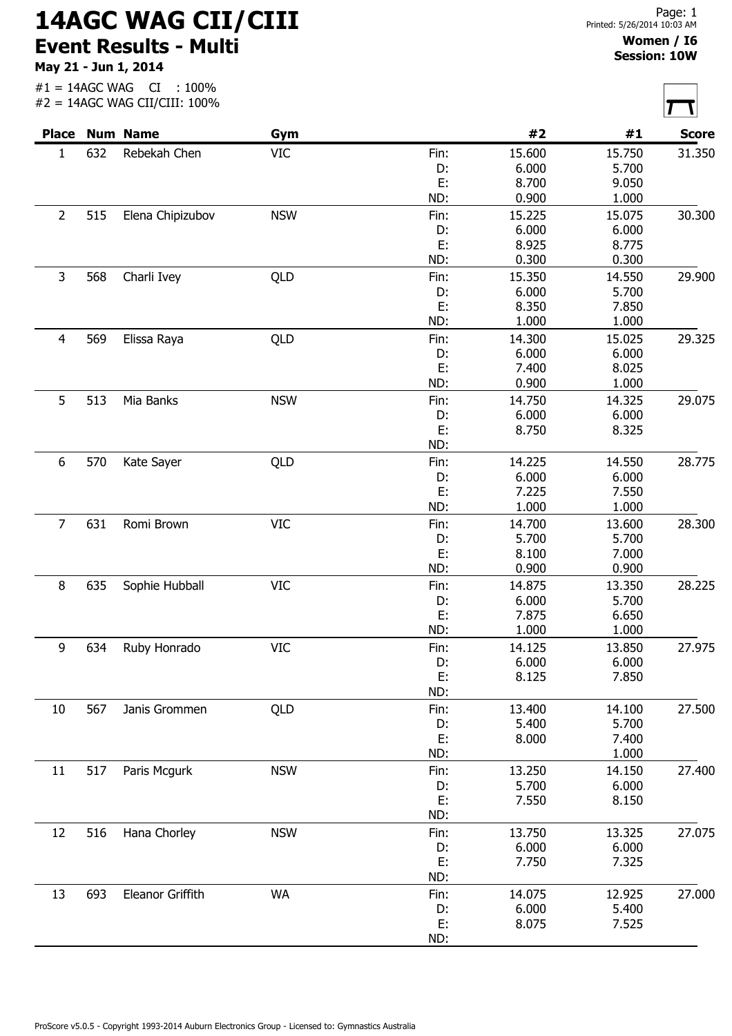## 14AGC WAG CII/CIII Event Results - Multi

May 21 - Jun 1, 2014

## Women / I6 Session: 10W

|                |     | <b>Place Num Name</b> | Gym        |      | #2     | #1     | <b>Score</b> |
|----------------|-----|-----------------------|------------|------|--------|--------|--------------|
| 1              | 632 | Rebekah Chen          | <b>VIC</b> | Fin: | 15.600 | 15.750 | 31.350       |
|                |     |                       |            | D:   | 6.000  | 5.700  |              |
|                |     |                       |            | E:   | 8.700  | 9.050  |              |
|                |     |                       |            | ND:  | 0.900  | 1.000  |              |
| $\overline{2}$ | 515 | Elena Chipizubov      | <b>NSW</b> | Fin: | 15.225 | 15.075 | 30.300       |
|                |     |                       |            | D:   | 6.000  | 6.000  |              |
|                |     |                       |            | E:   | 8.925  | 8.775  |              |
|                |     |                       |            | ND:  | 0.300  | 0.300  |              |
| 3              | 568 | Charli Ivey           | QLD        | Fin: | 15.350 | 14.550 | 29.900       |
|                |     |                       |            | D:   | 6.000  | 5.700  |              |
|                |     |                       |            | E:   | 8.350  | 7.850  |              |
|                |     |                       |            | ND:  | 1.000  | 1.000  |              |
| $\overline{4}$ | 569 | Elissa Raya           | QLD        | Fin: | 14.300 | 15.025 | 29.325       |
|                |     |                       |            | D:   | 6.000  | 6.000  |              |
|                |     |                       |            | E:   | 7.400  | 8.025  |              |
|                |     |                       |            | ND:  | 0.900  | 1.000  |              |
| 5              | 513 | Mia Banks             | <b>NSW</b> | Fin: | 14.750 | 14.325 | 29.075       |
|                |     |                       |            | D:   | 6.000  | 6.000  |              |
|                |     |                       |            | E:   | 8.750  | 8.325  |              |
|                |     |                       |            | ND:  |        |        |              |
| 6              | 570 | Kate Sayer            | QLD        | Fin: | 14.225 | 14.550 | 28.775       |
|                |     |                       |            | D:   | 6.000  | 6.000  |              |
|                |     |                       |            | E:   | 7.225  | 7.550  |              |
|                |     |                       |            | ND:  | 1.000  | 1.000  |              |
| $\overline{7}$ | 631 | Romi Brown            | <b>VIC</b> | Fin: | 14.700 | 13.600 | 28.300       |
|                |     |                       |            | D:   | 5.700  | 5.700  |              |
|                |     |                       |            | E:   | 8.100  | 7.000  |              |
|                |     |                       |            | ND:  | 0.900  | 0.900  |              |
| $\,8\,$        | 635 | Sophie Hubball        | <b>VIC</b> | Fin: | 14.875 | 13.350 | 28.225       |
|                |     |                       |            | D:   | 6.000  | 5.700  |              |
|                |     |                       |            | E:   | 7.875  | 6.650  |              |
|                |     |                       |            | ND:  | 1.000  | 1.000  |              |
| 9              | 634 | Ruby Honrado          | <b>VIC</b> | Fin: | 14.125 | 13.850 | 27.975       |
|                |     |                       |            | D:   | 6.000  | 6.000  |              |
|                |     |                       |            | E:   | 8.125  | 7.850  |              |
|                |     |                       |            | ND:  |        |        |              |
| 10             | 567 | Janis Grommen         | QLD        | Fin: | 13.400 | 14.100 | 27.500       |
|                |     |                       |            | D:   | 5.400  | 5.700  |              |
|                |     |                       |            | E:   | 8.000  | 7.400  |              |
|                |     |                       |            | ND:  |        | 1.000  |              |
| 11             | 517 | Paris Mcgurk          | <b>NSW</b> | Fin: | 13.250 | 14.150 | 27.400       |
|                |     |                       |            | D:   | 5.700  | 6.000  |              |
|                |     |                       |            | Ε.   | 7.550  | 8.150  |              |
|                |     |                       |            | ND:  |        |        |              |
| 12             | 516 | Hana Chorley          | <b>NSW</b> | Fin: | 13.750 | 13.325 | 27.075       |
|                |     |                       |            | D:   | 6.000  | 6.000  |              |
|                |     |                       |            | E:   | 7.750  | 7.325  |              |
|                |     |                       |            | ND:  |        |        |              |
| 13             | 693 | Eleanor Griffith      | <b>WA</b>  | Fin: | 14.075 | 12.925 | 27.000       |
|                |     |                       |            | D:   | 6.000  | 5.400  |              |
|                |     |                       |            | E:   | 8.075  | 7.525  |              |
|                |     |                       |            |      |        |        |              |